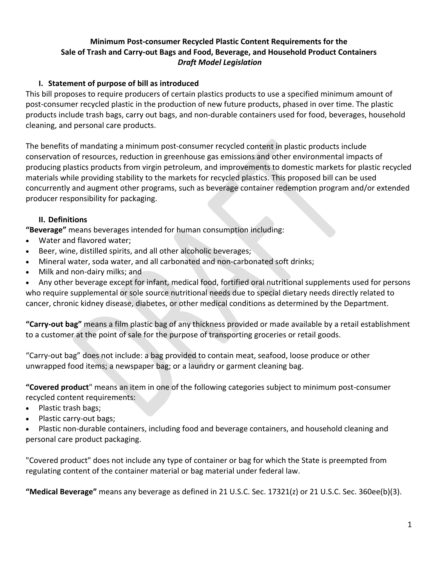## **Minimum Post‐consumer Recycled Plastic Content Requirements for the Sale of Trash and Carry‐out Bags and Food, Beverage, and Household Product Containers**  *Draft Model Legislation*

### **I. Statement of purpose of bill as introduced**

This bill proposes to require producers of certain plastics products to use a specified minimum amount of post-consumer recycled plastic in the production of new future products, phased in over time. The plastic products include trash bags, carry out bags, and non‐durable containers used for food, beverages, household cleaning, and personal care products.

The benefits of mandating a minimum post-consumer recycled content in plastic products include conservation of resources, reduction in greenhouse gas emissions and other environmental impacts of producing plastics products from virgin petroleum, and improvements to domestic markets for plastic recycled materials while providing stability to the markets for recycled plastics. This proposed bill can be used concurrently and augment other programs, such as beverage container redemption program and/or extended producer responsibility for packaging.

#### **II. Definitions**

**"Beverage"** means beverages intended for human consumption including:

- Water and flavored water;
- Beer, wine, distilled spirits, and all other alcoholic beverages;
- Mineral water, soda water, and all carbonated and non‐carbonated soft drinks;
- Milk and non‐dairy milks; and

 Any other beverage except for infant, medical food, fortified oral nutritional supplements used for persons who require supplemental or sole source nutritional needs due to special dietary needs directly related to cancer, chronic kidney disease, diabetes, or other medical conditions as determined by the Department.

**"Carry‐out bag"** means a film plastic bag of any thickness provided or made available by a retail establishment to a customer at the point of sale for the purpose of transporting groceries or retail goods.

"Carry‐out bag" does not include: a bag provided to contain meat, seafood, loose produce or other unwrapped food items; a newspaper bag; or a laundry or garment cleaning bag.

**"Covered product**" means an item in one of the following categories subject to minimum post‐consumer recycled content requirements:

- Plastic trash bags;
- Plastic carry-out bags;

 Plastic non‐durable containers, including food and beverage containers, and household cleaning and personal care product packaging.

"Covered product" does not include any type of container or bag for which the State is preempted from regulating content of the container material or bag material under federal law.

**"Medical Beverage"** means any beverage as defined in 21 U.S.C. Sec. 17321(z) or 21 U.S.C. Sec. 360ee(b)(3).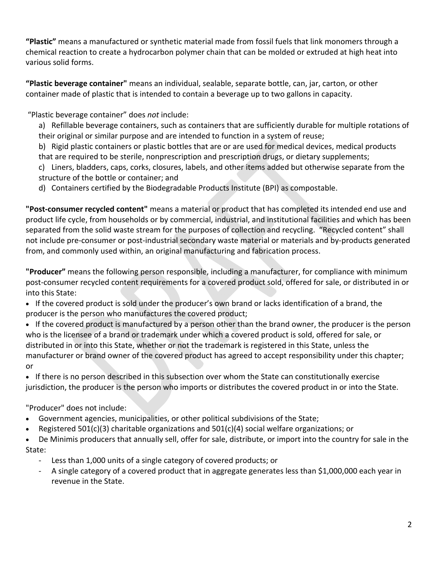**"Plastic"** means a manufactured or synthetic material made from fossil fuels that link monomers through a chemical reaction to create a hydrocarbon polymer chain that can be molded or extruded at high heat into various solid forms.

**"Plastic beverage container"** means an individual, sealable, separate bottle, can, jar, carton, or other container made of plastic that is intended to contain a beverage up to two gallons in capacity.

"Plastic beverage container" does *not* include:

a) Refillable beverage containers, such as containers that are sufficiently durable for multiple rotations of their original or similar purpose and are intended to function in a system of reuse;

b) Rigid plastic containers or plastic bottles that are or are used for medical devices, medical products that are required to be sterile, nonprescription and prescription drugs, or dietary supplements;

c) Liners, bladders, caps, corks, closures, labels, and other items added but otherwise separate from the structure of the bottle or container; and

d) Containers certified by the Biodegradable Products Institute (BPI) as compostable.

**"Post‐consumer recycled content"** means a material or product that has completed its intended end use and product life cycle, from households or by commercial, industrial, and institutional facilities and which has been separated from the solid waste stream for the purposes of collection and recycling. "Recycled content" shall not include pre-consumer or post-industrial secondary waste material or materials and by-products generated from, and commonly used within, an original manufacturing and fabrication process.

**"Producer"** means the following person responsible, including a manufacturer, for compliance with minimum post-consumer recycled content requirements for a covered product sold, offered for sale, or distributed in or into this State:

- If the covered product is sold under the producer's own brand or lacks identification of a brand, the producer is the person who manufactures the covered product;
- If the covered product is manufactured by a person other than the brand owner, the producer is the person who is the licensee of a brand or trademark under which a covered product is sold, offered for sale, or distributed in or into this State, whether or not the trademark is registered in this State, unless the manufacturer or brand owner of the covered product has agreed to accept responsibility under this chapter; or

• If there is no person described in this subsection over whom the State can constitutionally exercise jurisdiction, the producer is the person who imports or distributes the covered product in or into the State.

"Producer" does not include:

- Government agencies, municipalities, or other political subdivisions of the State;
- Registered 501(c)(3) charitable organizations and 501(c)(4) social welfare organizations; or

 De Minimis producers that annually sell, offer for sale, distribute, or import into the country for sale in the State:

- ‐ Less than 1,000 units of a single category of covered products; or
- ‐ A single category of a covered product that in aggregate generates less than \$1,000,000 each year in revenue in the State.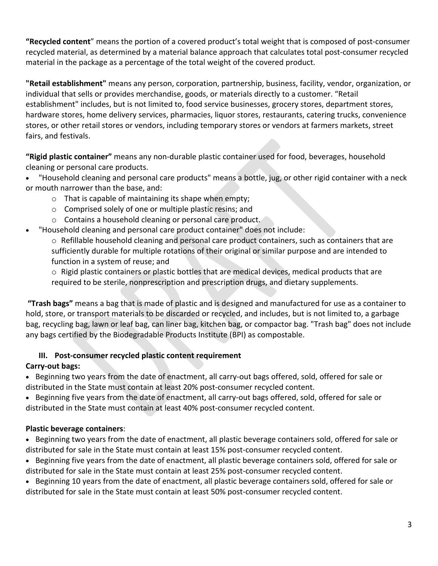**"Recycled content**" means the portion of a covered product's total weight that is composed of post‐consumer recycled material, as determined by a material balance approach that calculates total post‐consumer recycled material in the package as a percentage of the total weight of the covered product.

**"Retail establishment"** means any person, corporation, partnership, business, facility, vendor, organization, or individual that sells or provides merchandise, goods, or materials directly to a customer. "Retail establishment" includes, but is not limited to, food service businesses, grocery stores, department stores, hardware stores, home delivery services, pharmacies, liquor stores, restaurants, catering trucks, convenience stores, or other retail stores or vendors, including temporary stores or vendors at farmers markets, street fairs, and festivals.

**"Rigid plastic container"** means any non‐durable plastic container used for food, beverages, household cleaning or personal care products.

- "Household cleaning and personal care products" means a bottle, jug, or other rigid container with a neck or mouth narrower than the base, and:
	- o That is capable of maintaining its shape when empty;
	- o Comprised solely of one or multiple plastic resins; and
	- o Contains a household cleaning or personal care product.
- "Household cleaning and personal care product container" does not include:
	- $\circ$  Refillable household cleaning and personal care product containers, such as containers that are sufficiently durable for multiple rotations of their original or similar purpose and are intended to function in a system of reuse; and

o Rigid plastic containers or plastic bottles that are medical devices, medical products that are required to be sterile, nonprescription and prescription drugs, and dietary supplements.

**"Trash bags"** means a bag that is made of plastic and is designed and manufactured for use as a container to hold, store, or transport materials to be discarded or recycled, and includes, but is not limited to, a garbage bag, recycling bag, lawn or leaf bag, can liner bag, kitchen bag, or compactor bag. "Trash bag" does not include any bags certified by the Biodegradable Products Institute (BPI) as compostable.

# **III. Post‐consumer recycled plastic content requirement**

## **Carry‐out bags:**

■ Beginning two years from the date of enactment, all carry-out bags offered, sold, offered for sale or distributed in the State must contain at least 20% post‐consumer recycled content.

■ Beginning five years from the date of enactment, all carry-out bags offered, sold, offered for sale or distributed in the State must contain at least 40% post‐consumer recycled content.

## **Plastic beverage containers**:

• Beginning two years from the date of enactment, all plastic beverage containers sold, offered for sale or distributed for sale in the State must contain at least 15% post‐consumer recycled content.

 Beginning five years from the date of enactment, all plastic beverage containers sold, offered for sale or distributed for sale in the State must contain at least 25% post-consumer recycled content.

• Beginning 10 years from the date of enactment, all plastic beverage containers sold, offered for sale or distributed for sale in the State must contain at least 50% post‐consumer recycled content.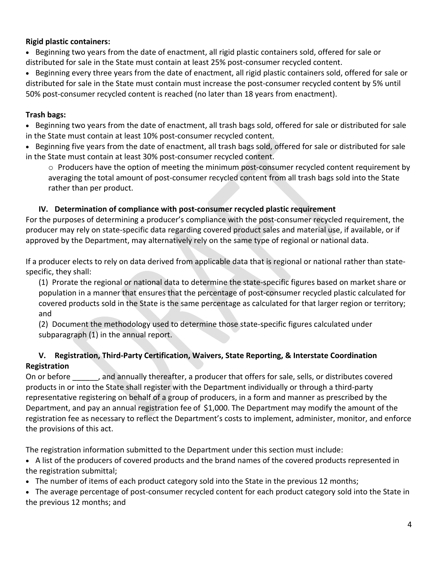#### **Rigid plastic containers:**

• Beginning two years from the date of enactment, all rigid plastic containers sold, offered for sale or distributed for sale in the State must contain at least 25% post‐consumer recycled content.

 Beginning every three years from the date of enactment, all rigid plastic containers sold, offered for sale or distributed for sale in the State must contain must increase the post-consumer recycled content by 5% until 50% post-consumer recycled content is reached (no later than 18 years from enactment).

#### **Trash bags:**

 Beginning two years from the date of enactment, all trash bags sold, offered for sale or distributed for sale in the State must contain at least 10% post‐consumer recycled content.

 Beginning five years from the date of enactment, all trash bags sold, offered for sale or distributed for sale in the State must contain at least 30% post‐consumer recycled content.

 $\circ$  Producers have the option of meeting the minimum post-consumer recycled content requirement by averaging the total amount of post‐consumer recycled content from all trash bags sold into the State rather than per product.

#### **IV. Determination of compliance with post‐consumer recycled plastic requirement**

For the purposes of determining a producer's compliance with the post-consumer recycled requirement, the producer may rely on state‐specific data regarding covered product sales and material use, if available, or if approved by the Department, may alternatively rely on the same type of regional or national data.

If a producer elects to rely on data derived from applicable data that is regional or national rather than state‐ specific, they shall:

(1) Prorate the regional or national data to determine the state‐specific figures based on market share or population in a manner that ensures that the percentage of post‐consumer recycled plastic calculated for covered products sold in the State is the same percentage as calculated for that larger region or territory; and

(2) Document the methodology used to determine those state‐specific figures calculated under subparagraph (1) in the annual report.

## **V. Registration, Third‐Party Certification, Waivers, State Reporting, & Interstate Coordination Registration**

On or before and annually thereafter, a producer that offers for sale, sells, or distributes covered products in or into the State shall register with the Department individually or through a third‐party representative registering on behalf of a group of producers, in a form and manner as prescribed by the Department, and pay an annual registration fee of \$1,000. The Department may modify the amount of the registration fee as necessary to reflect the Department's costs to implement, administer, monitor, and enforce the provisions of this act.

The registration information submitted to the Department under this section must include:

 A list of the producers of covered products and the brand names of the covered products represented in the registration submittal;

• The number of items of each product category sold into the State in the previous 12 months;

• The average percentage of post-consumer recycled content for each product category sold into the State in the previous 12 months; and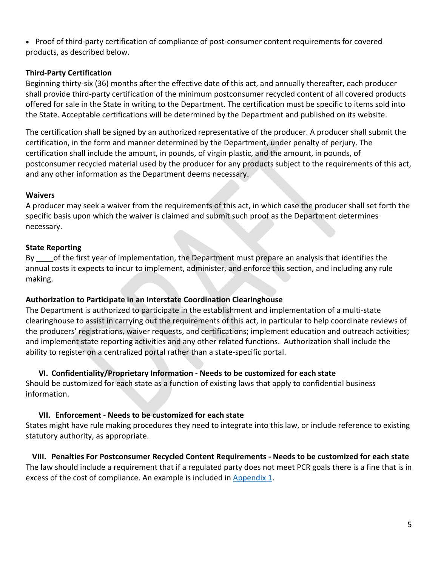● Proof of third-party certification of compliance of post-consumer content requirements for covered products, as described below.

#### **Third‐Party Certification**

Beginning thirty‐six (36) months after the effective date of this act, and annually thereafter, each producer shall provide third‐party certification of the minimum postconsumer recycled content of all covered products offered for sale in the State in writing to the Department. The certification must be specific to items sold into the State. Acceptable certifications will be determined by the Department and published on its website.

The certification shall be signed by an authorized representative of the producer. A producer shall submit the certification, in the form and manner determined by the Department, under penalty of perjury. The certification shall include the amount, in pounds, of virgin plastic, and the amount, in pounds, of postconsumer recycled material used by the producer for any products subject to the requirements of this act, and any other information as the Department deems necessary.

#### **Waivers**

A producer may seek a waiver from the requirements of this act, in which case the producer shall set forth the specific basis upon which the waiver is claimed and submit such proof as the Department determines necessary.

## **State Reporting**

By of the first year of implementation, the Department must prepare an analysis that identifies the annual costs it expects to incur to implement, administer, and enforce this section, and including any rule making.

#### **Authorization to Participate in an Interstate Coordination Clearinghouse**

The Department is authorized to participate in the establishment and implementation of a multi‐state clearinghouse to assist in carrying out the requirements of this act, in particular to help coordinate reviews of the producers' registrations, waiver requests, and certifications; implement education and outreach activities; and implement state reporting activities and any other related functions. Authorization shall include the ability to register on a centralized portal rather than a state‐specific portal.

## **VI. Confidentiality/Proprietary Information ‐ Needs to be customized for each state**

Should be customized for each state as a function of existing laws that apply to confidential business information.

#### **VII. Enforcement ‐ Needs to be customized for each state**

States might have rule making procedures they need to integrate into this law, or include reference to existing statutory authority, as appropriate.

#### **VIII. Penalties For Postconsumer Recycled Content Requirements ‐ Needs to be customized for each state**

The law should include a requirement that if a regulated party does not meet PCR goals there is a fine that is in excess of the cost of compliance. An example is included in Appendix 1.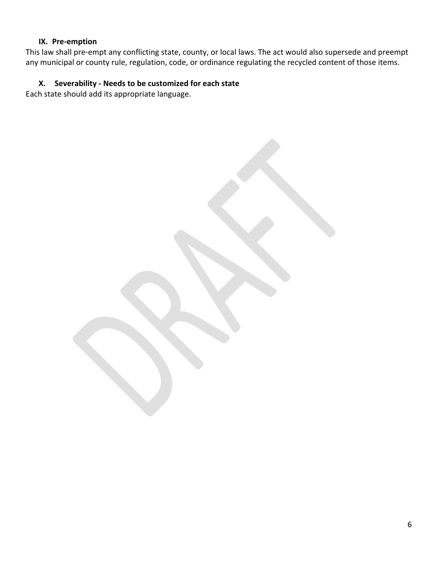#### **IX. Pre‐emption**

This law shall pre‐empt any conflicting state, county, or local laws. The act would also supersede and preempt any municipal or county rule, regulation, code, or ordinance regulating the recycled content of those items.

## **X. Severability ‐ Needs to be customized for each state**

Each state should add its appropriate language.